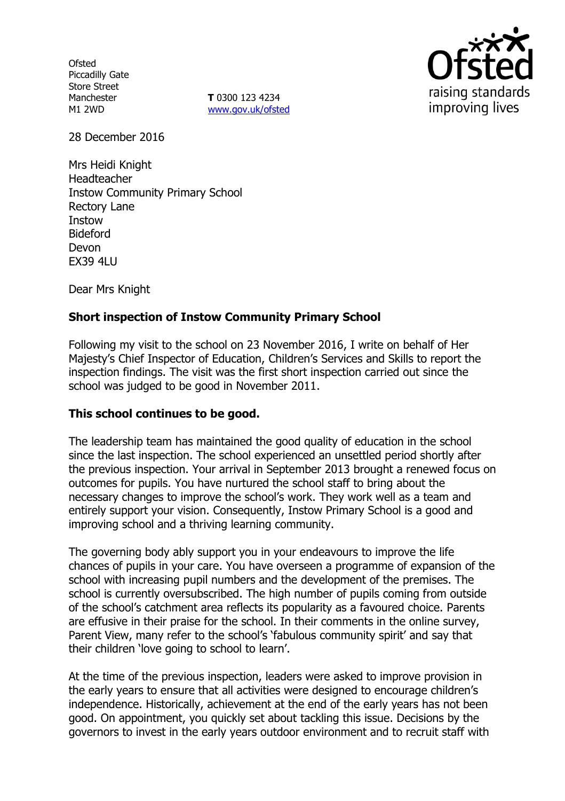**Ofsted** Piccadilly Gate Store Street Manchester M1 2WD

**T** 0300 123 4234 www.gov.uk/ofsted



28 December 2016

Mrs Heidi Knight Headteacher Instow Community Primary School Rectory Lane Instow Bideford Devon EX39 4LU

Dear Mrs Knight

### **Short inspection of Instow Community Primary School**

Following my visit to the school on 23 November 2016, I write on behalf of Her Majesty's Chief Inspector of Education, Children's Services and Skills to report the inspection findings. The visit was the first short inspection carried out since the school was judged to be good in November 2011.

### **This school continues to be good.**

The leadership team has maintained the good quality of education in the school since the last inspection. The school experienced an unsettled period shortly after the previous inspection. Your arrival in September 2013 brought a renewed focus on outcomes for pupils. You have nurtured the school staff to bring about the necessary changes to improve the school's work. They work well as a team and entirely support your vision. Consequently, Instow Primary School is a good and improving school and a thriving learning community.

The governing body ably support you in your endeavours to improve the life chances of pupils in your care. You have overseen a programme of expansion of the school with increasing pupil numbers and the development of the premises. The school is currently oversubscribed. The high number of pupils coming from outside of the school's catchment area reflects its popularity as a favoured choice. Parents are effusive in their praise for the school. In their comments in the online survey, Parent View, many refer to the school's 'fabulous community spirit' and say that their children 'love going to school to learn'.

At the time of the previous inspection, leaders were asked to improve provision in the early years to ensure that all activities were designed to encourage children's independence. Historically, achievement at the end of the early years has not been good. On appointment, you quickly set about tackling this issue. Decisions by the governors to invest in the early years outdoor environment and to recruit staff with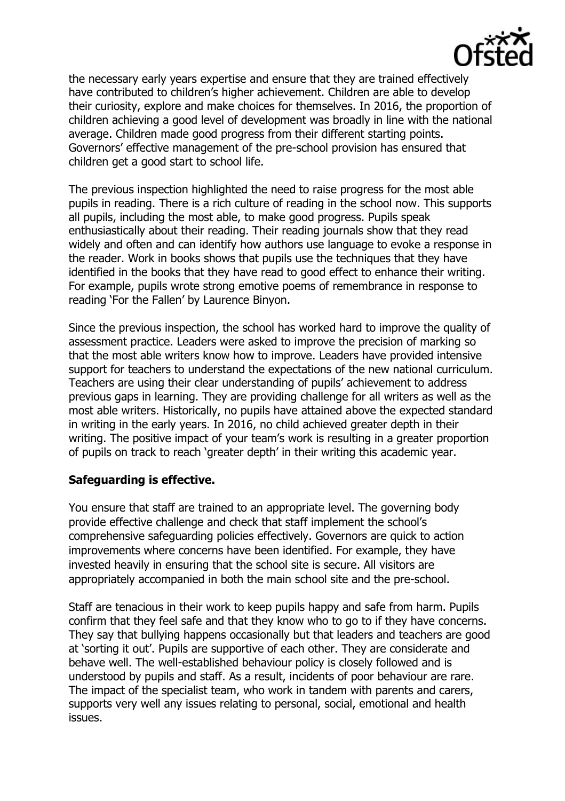

the necessary early years expertise and ensure that they are trained effectively have contributed to children's higher achievement. Children are able to develop their curiosity, explore and make choices for themselves. In 2016, the proportion of children achieving a good level of development was broadly in line with the national average. Children made good progress from their different starting points. Governors' effective management of the pre-school provision has ensured that children get a good start to school life.

The previous inspection highlighted the need to raise progress for the most able pupils in reading. There is a rich culture of reading in the school now. This supports all pupils, including the most able, to make good progress. Pupils speak enthusiastically about their reading. Their reading journals show that they read widely and often and can identify how authors use language to evoke a response in the reader. Work in books shows that pupils use the techniques that they have identified in the books that they have read to good effect to enhance their writing. For example, pupils wrote strong emotive poems of remembrance in response to reading 'For the Fallen' by Laurence Binyon.

Since the previous inspection, the school has worked hard to improve the quality of assessment practice. Leaders were asked to improve the precision of marking so that the most able writers know how to improve. Leaders have provided intensive support for teachers to understand the expectations of the new national curriculum. Teachers are using their clear understanding of pupils' achievement to address previous gaps in learning. They are providing challenge for all writers as well as the most able writers. Historically, no pupils have attained above the expected standard in writing in the early years. In 2016, no child achieved greater depth in their writing. The positive impact of your team's work is resulting in a greater proportion of pupils on track to reach 'greater depth' in their writing this academic year.

# **Safeguarding is effective.**

You ensure that staff are trained to an appropriate level. The governing body provide effective challenge and check that staff implement the school's comprehensive safeguarding policies effectively. Governors are quick to action improvements where concerns have been identified. For example, they have invested heavily in ensuring that the school site is secure. All visitors are appropriately accompanied in both the main school site and the pre-school.

Staff are tenacious in their work to keep pupils happy and safe from harm. Pupils confirm that they feel safe and that they know who to go to if they have concerns. They say that bullying happens occasionally but that leaders and teachers are good at 'sorting it out'. Pupils are supportive of each other. They are considerate and behave well. The well-established behaviour policy is closely followed and is understood by pupils and staff. As a result, incidents of poor behaviour are rare. The impact of the specialist team, who work in tandem with parents and carers, supports very well any issues relating to personal, social, emotional and health issues.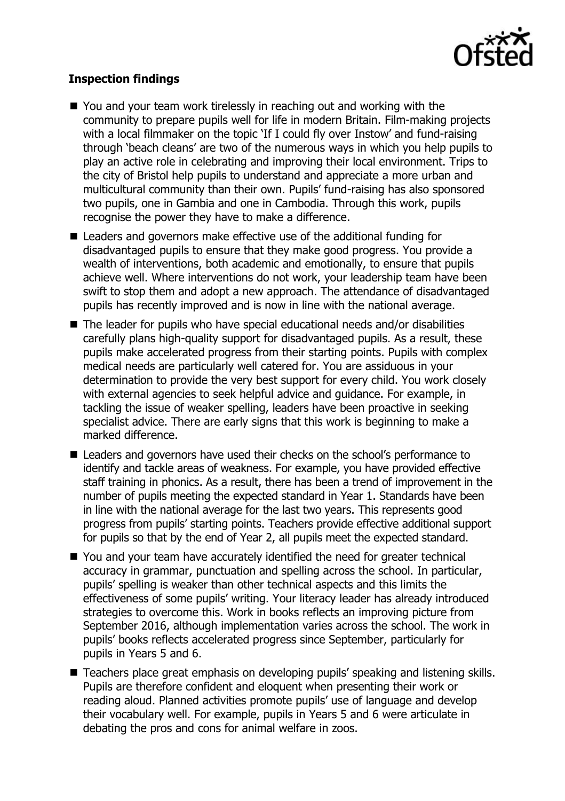

## **Inspection findings**

- You and your team work tirelessly in reaching out and working with the community to prepare pupils well for life in modern Britain. Film-making projects with a local filmmaker on the topic 'If I could fly over Instow' and fund-raising through 'beach cleans' are two of the numerous ways in which you help pupils to play an active role in celebrating and improving their local environment. Trips to the city of Bristol help pupils to understand and appreciate a more urban and multicultural community than their own. Pupils' fund-raising has also sponsored two pupils, one in Gambia and one in Cambodia. Through this work, pupils recognise the power they have to make a difference.
- Leaders and governors make effective use of the additional funding for disadvantaged pupils to ensure that they make good progress. You provide a wealth of interventions, both academic and emotionally, to ensure that pupils achieve well. Where interventions do not work, your leadership team have been swift to stop them and adopt a new approach. The attendance of disadvantaged pupils has recently improved and is now in line with the national average.
- The leader for pupils who have special educational needs and/or disabilities carefully plans high-quality support for disadvantaged pupils. As a result, these pupils make accelerated progress from their starting points. Pupils with complex medical needs are particularly well catered for. You are assiduous in your determination to provide the very best support for every child. You work closely with external agencies to seek helpful advice and guidance. For example, in tackling the issue of weaker spelling, leaders have been proactive in seeking specialist advice. There are early signs that this work is beginning to make a marked difference.
- Leaders and governors have used their checks on the school's performance to identify and tackle areas of weakness. For example, you have provided effective staff training in phonics. As a result, there has been a trend of improvement in the number of pupils meeting the expected standard in Year 1. Standards have been in line with the national average for the last two years. This represents good progress from pupils' starting points. Teachers provide effective additional support for pupils so that by the end of Year 2, all pupils meet the expected standard.
- You and your team have accurately identified the need for greater technical accuracy in grammar, punctuation and spelling across the school. In particular, pupils' spelling is weaker than other technical aspects and this limits the effectiveness of some pupils' writing. Your literacy leader has already introduced strategies to overcome this. Work in books reflects an improving picture from September 2016, although implementation varies across the school. The work in pupils' books reflects accelerated progress since September, particularly for pupils in Years 5 and 6.
- Teachers place great emphasis on developing pupils' speaking and listening skills. Pupils are therefore confident and eloquent when presenting their work or reading aloud. Planned activities promote pupils' use of language and develop their vocabulary well. For example, pupils in Years 5 and 6 were articulate in debating the pros and cons for animal welfare in zoos.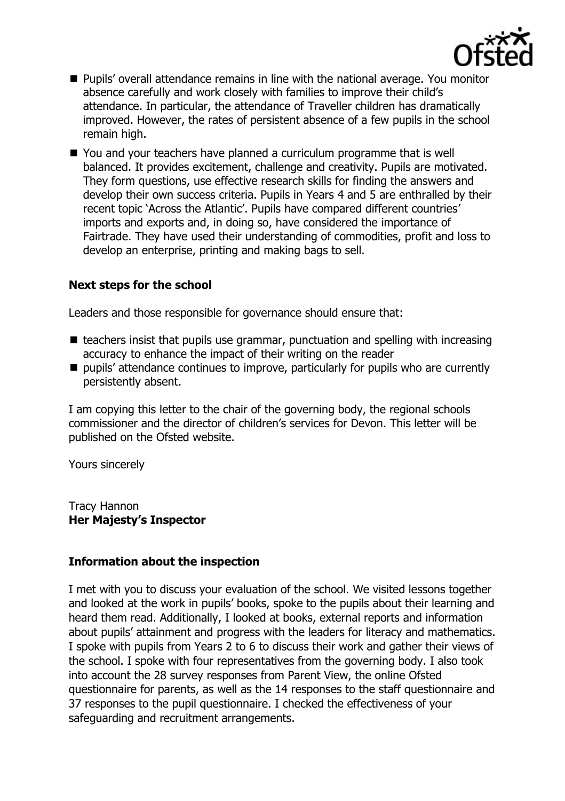

- Pupils' overall attendance remains in line with the national average. You monitor absence carefully and work closely with families to improve their child's attendance. In particular, the attendance of Traveller children has dramatically improved. However, the rates of persistent absence of a few pupils in the school remain high.
- You and your teachers have planned a curriculum programme that is well balanced. It provides excitement, challenge and creativity. Pupils are motivated. They form questions, use effective research skills for finding the answers and develop their own success criteria. Pupils in Years 4 and 5 are enthralled by their recent topic 'Across the Atlantic'. Pupils have compared different countries' imports and exports and, in doing so, have considered the importance of Fairtrade. They have used their understanding of commodities, profit and loss to develop an enterprise, printing and making bags to sell.

### **Next steps for the school**

Leaders and those responsible for governance should ensure that:

- $\blacksquare$  teachers insist that pupils use grammar, punctuation and spelling with increasing accuracy to enhance the impact of their writing on the reader
- $\blacksquare$  pupils' attendance continues to improve, particularly for pupils who are currently persistently absent.

I am copying this letter to the chair of the governing body, the regional schools commissioner and the director of children's services for Devon. This letter will be published on the Ofsted website.

Yours sincerely

Tracy Hannon **Her Majesty's Inspector**

### **Information about the inspection**

I met with you to discuss your evaluation of the school. We visited lessons together and looked at the work in pupils' books, spoke to the pupils about their learning and heard them read. Additionally, I looked at books, external reports and information about pupils' attainment and progress with the leaders for literacy and mathematics. I spoke with pupils from Years 2 to 6 to discuss their work and gather their views of the school. I spoke with four representatives from the governing body. I also took into account the 28 survey responses from Parent View, the online Ofsted questionnaire for parents, as well as the 14 responses to the staff questionnaire and 37 responses to the pupil questionnaire. I checked the effectiveness of your safeguarding and recruitment arrangements.